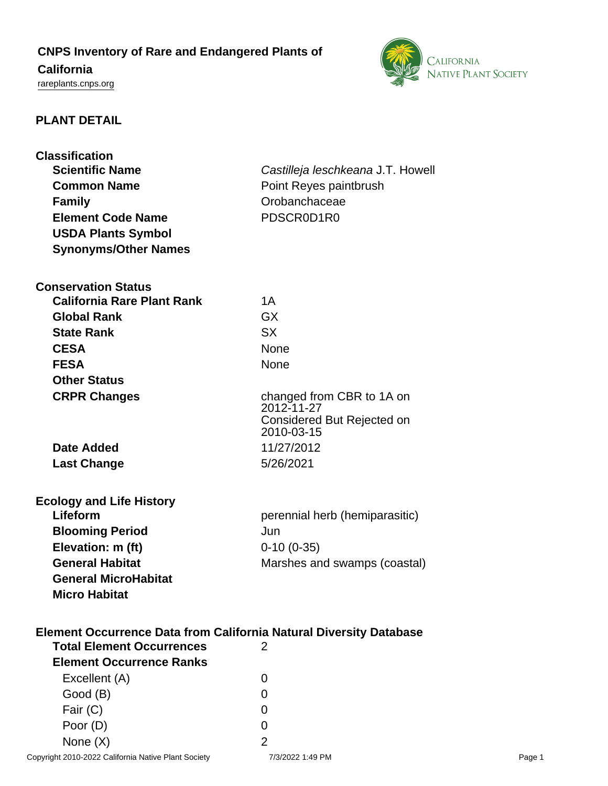# **CNPS Inventory of Rare and Endangered Plants of California**

<rareplants.cnps.org>



## **PLANT DETAIL**

| <b>Classification</b><br><b>Scientific Name</b><br><b>Common Name</b><br><b>Family</b><br><b>Element Code Name</b> | Castilleja leschkeana J.T. Howell<br>Point Reyes paintbrush<br>Orobanchaceae<br>PDSCR0D1R0 |
|--------------------------------------------------------------------------------------------------------------------|--------------------------------------------------------------------------------------------|
| <b>USDA Plants Symbol</b><br><b>Synonyms/Other Names</b>                                                           |                                                                                            |
| <b>Conservation Status</b>                                                                                         |                                                                                            |
| <b>California Rare Plant Rank</b>                                                                                  | 1A                                                                                         |
| <b>Global Rank</b>                                                                                                 | <b>GX</b>                                                                                  |
| <b>State Rank</b>                                                                                                  | <b>SX</b>                                                                                  |
| <b>CESA</b>                                                                                                        | <b>None</b>                                                                                |
| <b>FESA</b>                                                                                                        | <b>None</b>                                                                                |
| <b>Other Status</b>                                                                                                |                                                                                            |
| <b>CRPR Changes</b>                                                                                                | changed from CBR to 1A on                                                                  |
|                                                                                                                    | 2012-11-27<br>Considered But Rejected on                                                   |
|                                                                                                                    | 2010-03-15                                                                                 |
| Date Added                                                                                                         | 11/27/2012                                                                                 |
| <b>Last Change</b>                                                                                                 | 5/26/2021                                                                                  |
|                                                                                                                    |                                                                                            |
| <b>Ecology and Life History</b><br>Lifeform                                                                        |                                                                                            |
|                                                                                                                    | perennial herb (hemiparasitic)                                                             |
| <b>Blooming Period</b><br>Elevation: m (ft)                                                                        | Jun                                                                                        |
| <b>General Habitat</b>                                                                                             | $0-10(0-35)$                                                                               |
| <b>General MicroHabitat</b>                                                                                        | Marshes and swamps (coastal)                                                               |
| <b>Micro Habitat</b>                                                                                               |                                                                                            |
|                                                                                                                    |                                                                                            |
| <b>Element Occurrence Data from California Natural Diversity Database</b><br><b>Total Element Occurrences</b><br>2 |                                                                                            |
| <b>Element Occurrence Ranks</b>                                                                                    |                                                                                            |
| Excellent (A)                                                                                                      | 0                                                                                          |
| Good (B)                                                                                                           | 0                                                                                          |
| Fair (C)                                                                                                           | 0                                                                                          |
| Poor (D)                                                                                                           | 0                                                                                          |

None  $(X)$  2